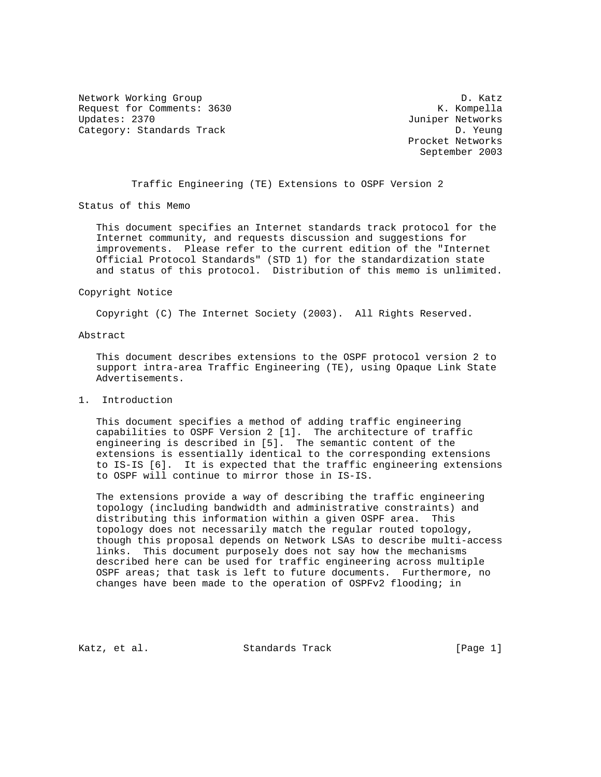Network Working Group Decree 2012 12:00 12:00 Network D. Katz Request for Comments: 3630 K. Kompella<br>Updates: 2370 K. Kompella Category: Standards Track D. Yeung

Juniper Networks Procket Networks September 2003

Traffic Engineering (TE) Extensions to OSPF Version 2

Status of this Memo

 This document specifies an Internet standards track protocol for the Internet community, and requests discussion and suggestions for improvements. Please refer to the current edition of the "Internet Official Protocol Standards" (STD 1) for the standardization state and status of this protocol. Distribution of this memo is unlimited.

#### Copyright Notice

Copyright (C) The Internet Society (2003). All Rights Reserved.

## Abstract

 This document describes extensions to the OSPF protocol version 2 to support intra-area Traffic Engineering (TE), using Opaque Link State Advertisements.

## 1. Introduction

 This document specifies a method of adding traffic engineering capabilities to OSPF Version 2 [1]. The architecture of traffic engineering is described in [5]. The semantic content of the extensions is essentially identical to the corresponding extensions to IS-IS [6]. It is expected that the traffic engineering extensions to OSPF will continue to mirror those in IS-IS.

 The extensions provide a way of describing the traffic engineering topology (including bandwidth and administrative constraints) and distributing this information within a given OSPF area. This topology does not necessarily match the regular routed topology, though this proposal depends on Network LSAs to describe multi-access links. This document purposely does not say how the mechanisms described here can be used for traffic engineering across multiple OSPF areas; that task is left to future documents. Furthermore, no changes have been made to the operation of OSPFv2 flooding; in

Katz, et al. Standards Track [Page 1]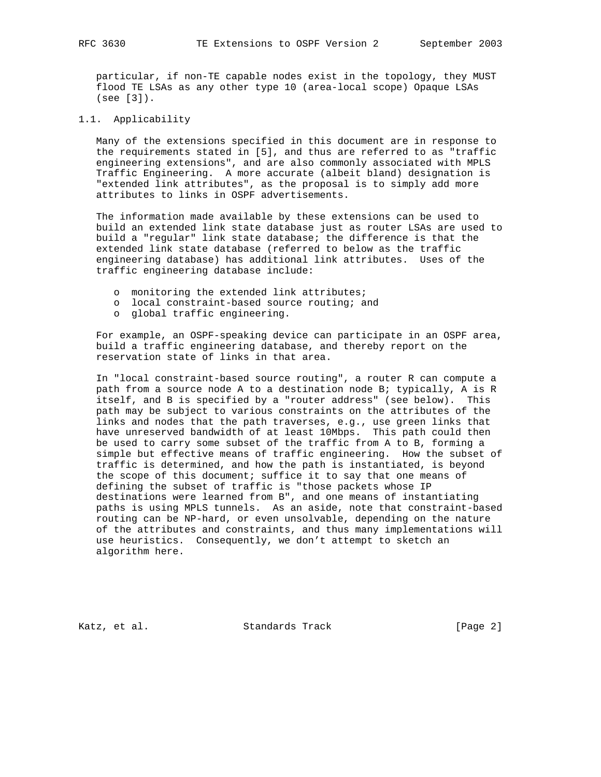particular, if non-TE capable nodes exist in the topology, they MUST flood TE LSAs as any other type 10 (area-local scope) Opaque LSAs (see [3]).

#### 1.1. Applicability

 Many of the extensions specified in this document are in response to the requirements stated in [5], and thus are referred to as "traffic engineering extensions", and are also commonly associated with MPLS Traffic Engineering. A more accurate (albeit bland) designation is "extended link attributes", as the proposal is to simply add more attributes to links in OSPF advertisements.

 The information made available by these extensions can be used to build an extended link state database just as router LSAs are used to build a "regular" link state database; the difference is that the extended link state database (referred to below as the traffic engineering database) has additional link attributes. Uses of the traffic engineering database include:

- o monitoring the extended link attributes;
- o local constraint-based source routing; and
- o global traffic engineering.

 For example, an OSPF-speaking device can participate in an OSPF area, build a traffic engineering database, and thereby report on the reservation state of links in that area.

 In "local constraint-based source routing", a router R can compute a path from a source node A to a destination node B; typically, A is R itself, and B is specified by a "router address" (see below). This path may be subject to various constraints on the attributes of the links and nodes that the path traverses, e.g., use green links that have unreserved bandwidth of at least 10Mbps. This path could then be used to carry some subset of the traffic from A to B, forming a simple but effective means of traffic engineering. How the subset of traffic is determined, and how the path is instantiated, is beyond the scope of this document; suffice it to say that one means of defining the subset of traffic is "those packets whose IP destinations were learned from B", and one means of instantiating paths is using MPLS tunnels. As an aside, note that constraint-based routing can be NP-hard, or even unsolvable, depending on the nature of the attributes and constraints, and thus many implementations will use heuristics. Consequently, we don't attempt to sketch an algorithm here.

Katz, et al. Standards Track [Page 2]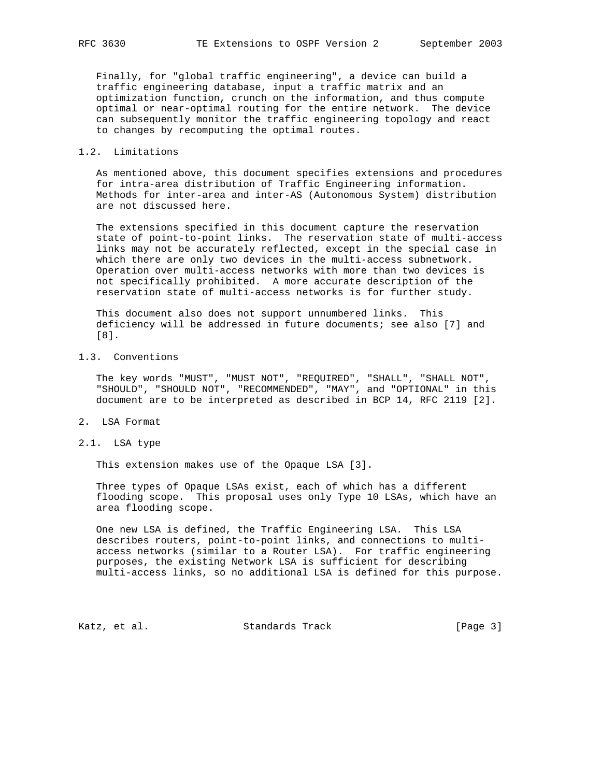Finally, for "global traffic engineering", a device can build a traffic engineering database, input a traffic matrix and an optimization function, crunch on the information, and thus compute optimal or near-optimal routing for the entire network. The device can subsequently monitor the traffic engineering topology and react to changes by recomputing the optimal routes.

## 1.2. Limitations

 As mentioned above, this document specifies extensions and procedures for intra-area distribution of Traffic Engineering information. Methods for inter-area and inter-AS (Autonomous System) distribution are not discussed here.

 The extensions specified in this document capture the reservation state of point-to-point links. The reservation state of multi-access links may not be accurately reflected, except in the special case in which there are only two devices in the multi-access subnetwork. Operation over multi-access networks with more than two devices is not specifically prohibited. A more accurate description of the reservation state of multi-access networks is for further study.

 This document also does not support unnumbered links. This deficiency will be addressed in future documents; see also [7] and [8].

# 1.3. Conventions

 The key words "MUST", "MUST NOT", "REQUIRED", "SHALL", "SHALL NOT", "SHOULD", "SHOULD NOT", "RECOMMENDED", "MAY", and "OPTIONAL" in this document are to be interpreted as described in BCP 14, RFC 2119 [2].

- 2. LSA Format
- 2.1. LSA type

This extension makes use of the Opaque LSA [3].

 Three types of Opaque LSAs exist, each of which has a different flooding scope. This proposal uses only Type 10 LSAs, which have an area flooding scope.

 One new LSA is defined, the Traffic Engineering LSA. This LSA describes routers, point-to-point links, and connections to multi access networks (similar to a Router LSA). For traffic engineering purposes, the existing Network LSA is sufficient for describing multi-access links, so no additional LSA is defined for this purpose.

Katz, et al. Standards Track [Page 3]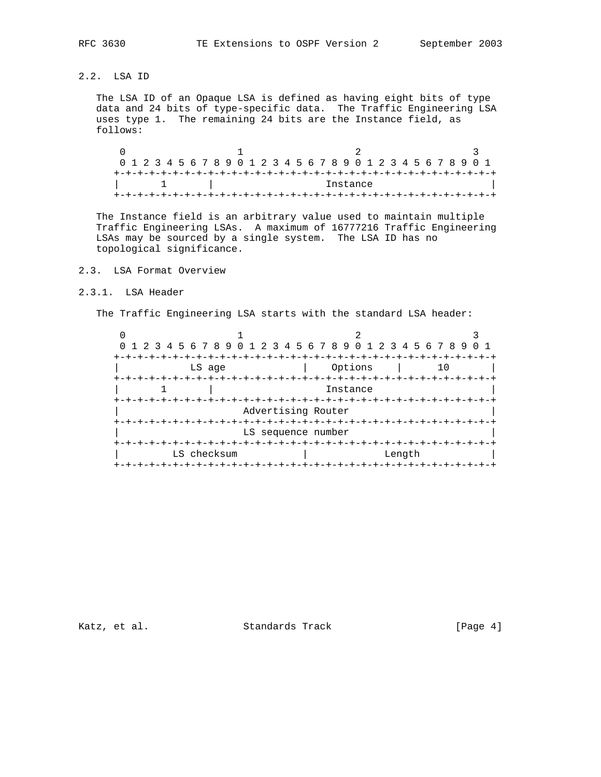2.2. LSA ID

 The LSA ID of an Opaque LSA is defined as having eight bits of type data and 24 bits of type-specific data. The Traffic Engineering LSA uses type 1. The remaining 24 bits are the Instance field, as follows:

 $0$  1 2 3 0 1 2 3 4 5 6 7 8 9 0 1 2 3 4 5 6 7 8 9 0 1 2 3 4 5 6 7 8 9 0 1 +-+-+-+-+-+-+-+-+-+-+-+-+-+-+-+-+-+-+-+-+-+-+-+-+-+-+-+-+-+-+-+-+ 1 | Instance +-+-+-+-+-+-+-+-+-+-+-+-+-+-+-+-+-+-+-+-+-+-+-+-+-+-+-+-+-+-+-+-+

 The Instance field is an arbitrary value used to maintain multiple Traffic Engineering LSAs. A maximum of 16777216 Traffic Engineering LSAs may be sourced by a single system. The LSA ID has no topological significance.

# 2.3. LSA Format Overview

# 2.3.1. LSA Header

The Traffic Engineering LSA starts with the standard LSA header:

|                    | 0 1 2 3 4 5 6 7 8 9 0 1 2 3 4 5 6 7 8 9 0 1 2 3 4 5 6 7 8 9 |                    |        |  |
|--------------------|-------------------------------------------------------------|--------------------|--------|--|
|                    |                                                             |                    |        |  |
|                    | LS age                                                      | Options            | 10     |  |
|                    |                                                             |                    |        |  |
|                    |                                                             | Instance           |        |  |
|                    |                                                             |                    |        |  |
| Advertising Router |                                                             |                    |        |  |
|                    |                                                             |                    |        |  |
|                    |                                                             | LS sequence number |        |  |
|                    |                                                             |                    |        |  |
|                    | LS checksum                                                 |                    | Length |  |
|                    |                                                             |                    |        |  |

Katz, et al. Standards Track [Page 4]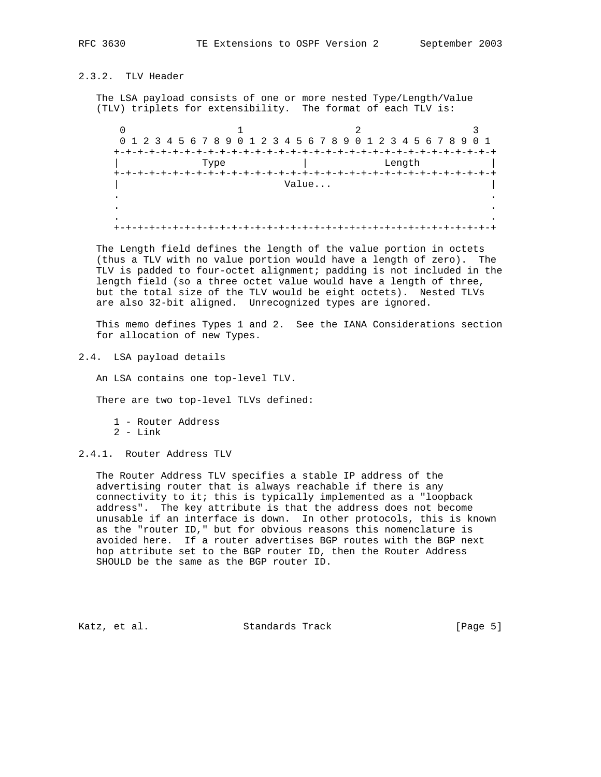# 2.3.2. TLV Header

 The LSA payload consists of one or more nested Type/Length/Value (TLV) triplets for extensibility. The format of each TLV is:

0  $1$  2 3 0 1 2 3 4 5 6 7 8 9 0 1 2 3 4 5 6 7 8 9 0 1 2 3 4 5 6 7 8 9 0 1 +-+-+-+-+-+-+-+-+-+-+-+-+-+-+-+-+-+-+-+-+-+-+-+-+-+-+-+-+-+-+-+-+ | Type | Length | L +-+-+-+-+-+-+-+-+-+-+-+-+-+-+-+-+-+-+-+-+-+-+-+-+-+-+-+-+-+-+-+-+ | Value... | . . . . . . +-+-+-+-+-+-+-+-+-+-+-+-+-+-+-+-+-+-+-+-+-+-+-+-+-+-+-+-+-+-+-+-+

 The Length field defines the length of the value portion in octets (thus a TLV with no value portion would have a length of zero). The TLV is padded to four-octet alignment; padding is not included in the length field (so a three octet value would have a length of three, but the total size of the TLV would be eight octets). Nested TLVs are also 32-bit aligned. Unrecognized types are ignored.

 This memo defines Types 1 and 2. See the IANA Considerations section for allocation of new Types.

2.4. LSA payload details

An LSA contains one top-level TLV.

There are two top-level TLVs defined:

1 - Router Address

 $2$  - Link

2.4.1. Router Address TLV

 The Router Address TLV specifies a stable IP address of the advertising router that is always reachable if there is any connectivity to it; this is typically implemented as a "loopback address". The key attribute is that the address does not become unusable if an interface is down. In other protocols, this is known as the "router ID," but for obvious reasons this nomenclature is avoided here. If a router advertises BGP routes with the BGP next hop attribute set to the BGP router ID, then the Router Address SHOULD be the same as the BGP router ID.

Katz, et al. Standards Track [Page 5]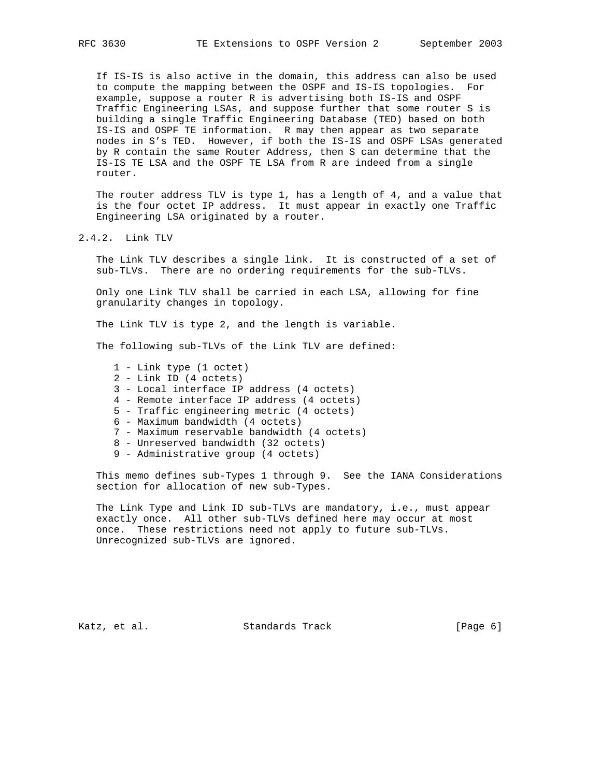If IS-IS is also active in the domain, this address can also be used to compute the mapping between the OSPF and IS-IS topologies. For example, suppose a router R is advertising both IS-IS and OSPF Traffic Engineering LSAs, and suppose further that some router S is building a single Traffic Engineering Database (TED) based on both IS-IS and OSPF TE information. R may then appear as two separate nodes in S's TED. However, if both the IS-IS and OSPF LSAs generated by R contain the same Router Address, then S can determine that the IS-IS TE LSA and the OSPF TE LSA from R are indeed from a single router.

 The router address TLV is type 1, has a length of 4, and a value that is the four octet IP address. It must appear in exactly one Traffic Engineering LSA originated by a router.

# 2.4.2. Link TLV

 The Link TLV describes a single link. It is constructed of a set of sub-TLVs. There are no ordering requirements for the sub-TLVs.

 Only one Link TLV shall be carried in each LSA, allowing for fine granularity changes in topology.

The Link TLV is type 2, and the length is variable.

The following sub-TLVs of the Link TLV are defined:

- 1 Link type (1 octet)
- 2 Link ID (4 octets)
- 3 Local interface IP address (4 octets)
- 4 Remote interface IP address (4 octets)
- 5 Traffic engineering metric (4 octets)
- 6 Maximum bandwidth (4 octets)
- 7 Maximum reservable bandwidth (4 octets)
- 8 Unreserved bandwidth (32 octets)
- 9 Administrative group (4 octets)

 This memo defines sub-Types 1 through 9. See the IANA Considerations section for allocation of new sub-Types.

 The Link Type and Link ID sub-TLVs are mandatory, i.e., must appear exactly once. All other sub-TLVs defined here may occur at most once. These restrictions need not apply to future sub-TLVs. Unrecognized sub-TLVs are ignored.

Katz, et al. Standards Track [Page 6]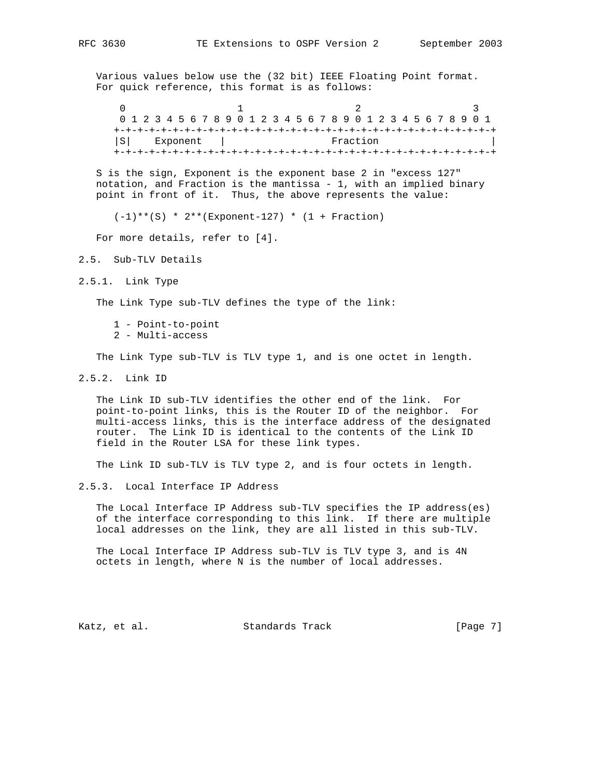Various values below use the (32 bit) IEEE Floating Point format. For quick reference, this format is as follows:

 $0$  1 2 3 0 1 2 3 4 5 6 7 8 9 0 1 2 3 4 5 6 7 8 9 0 1 2 3 4 5 6 7 8 9 0 1 +-+-+-+-+-+-+-+-+-+-+-+-+-+-+-+-+-+-+-+-+-+-+-+-+-+-+-+-+-+-+-+-+ |S| Exponent | Fraction +-+-+-+-+-+-+-+-+-+-+-+-+-+-+-+-+-+-+-+-+-+-+-+-+-+-+-+-+-+-+-+-+

 S is the sign, Exponent is the exponent base 2 in "excess 127" notation, and Fraction is the mantissa - 1, with an implied binary point in front of it. Thus, the above represents the value:

 $(-1)**(S) * 2**(Exponent-127) * (1 + Fraction)$ 

For more details, refer to [4].

- 2.5. Sub-TLV Details
- 2.5.1. Link Type

The Link Type sub-TLV defines the type of the link:

- 1 Point-to-point
- 2 Multi-access

The Link Type sub-TLV is TLV type 1, and is one octet in length.

2.5.2. Link ID

 The Link ID sub-TLV identifies the other end of the link. For point-to-point links, this is the Router ID of the neighbor. For multi-access links, this is the interface address of the designated router. The Link ID is identical to the contents of the Link ID field in the Router LSA for these link types.

The Link ID sub-TLV is TLV type 2, and is four octets in length.

2.5.3. Local Interface IP Address

 The Local Interface IP Address sub-TLV specifies the IP address(es) of the interface corresponding to this link. If there are multiple local addresses on the link, they are all listed in this sub-TLV.

 The Local Interface IP Address sub-TLV is TLV type 3, and is 4N octets in length, where N is the number of local addresses.

Katz, et al. Standards Track [Page 7]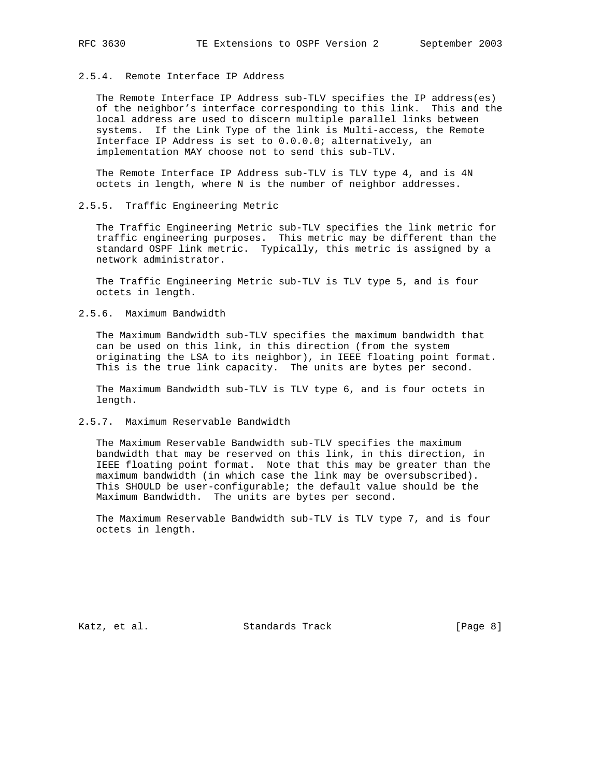# 2.5.4. Remote Interface IP Address

 The Remote Interface IP Address sub-TLV specifies the IP address(es) of the neighbor's interface corresponding to this link. This and the local address are used to discern multiple parallel links between systems. If the Link Type of the link is Multi-access, the Remote Interface IP Address is set to 0.0.0.0; alternatively, an implementation MAY choose not to send this sub-TLV.

 The Remote Interface IP Address sub-TLV is TLV type 4, and is 4N octets in length, where N is the number of neighbor addresses.

# 2.5.5. Traffic Engineering Metric

 The Traffic Engineering Metric sub-TLV specifies the link metric for traffic engineering purposes. This metric may be different than the standard OSPF link metric. Typically, this metric is assigned by a network administrator.

 The Traffic Engineering Metric sub-TLV is TLV type 5, and is four octets in length.

2.5.6. Maximum Bandwidth

 The Maximum Bandwidth sub-TLV specifies the maximum bandwidth that can be used on this link, in this direction (from the system originating the LSA to its neighbor), in IEEE floating point format. This is the true link capacity. The units are bytes per second.

 The Maximum Bandwidth sub-TLV is TLV type 6, and is four octets in length.

2.5.7. Maximum Reservable Bandwidth

 The Maximum Reservable Bandwidth sub-TLV specifies the maximum bandwidth that may be reserved on this link, in this direction, in IEEE floating point format. Note that this may be greater than the maximum bandwidth (in which case the link may be oversubscribed). This SHOULD be user-configurable; the default value should be the Maximum Bandwidth. The units are bytes per second.

 The Maximum Reservable Bandwidth sub-TLV is TLV type 7, and is four octets in length.

Katz, et al. Standards Track [Page 8]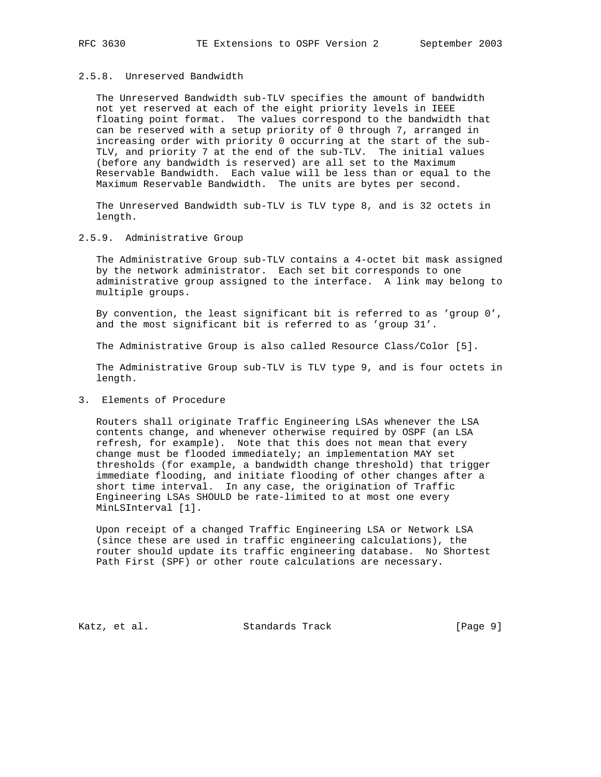# 2.5.8. Unreserved Bandwidth

 The Unreserved Bandwidth sub-TLV specifies the amount of bandwidth not yet reserved at each of the eight priority levels in IEEE floating point format. The values correspond to the bandwidth that can be reserved with a setup priority of 0 through 7, arranged in increasing order with priority 0 occurring at the start of the sub- TLV, and priority 7 at the end of the sub-TLV. The initial values (before any bandwidth is reserved) are all set to the Maximum Reservable Bandwidth. Each value will be less than or equal to the Maximum Reservable Bandwidth. The units are bytes per second.

 The Unreserved Bandwidth sub-TLV is TLV type 8, and is 32 octets in length.

#### 2.5.9. Administrative Group

 The Administrative Group sub-TLV contains a 4-octet bit mask assigned by the network administrator. Each set bit corresponds to one administrative group assigned to the interface. A link may belong to multiple groups.

 By convention, the least significant bit is referred to as 'group 0', and the most significant bit is referred to as 'group 31'.

The Administrative Group is also called Resource Class/Color [5].

 The Administrative Group sub-TLV is TLV type 9, and is four octets in length.

# 3. Elements of Procedure

 Routers shall originate Traffic Engineering LSAs whenever the LSA contents change, and whenever otherwise required by OSPF (an LSA refresh, for example). Note that this does not mean that every change must be flooded immediately; an implementation MAY set thresholds (for example, a bandwidth change threshold) that trigger immediate flooding, and initiate flooding of other changes after a short time interval. In any case, the origination of Traffic Engineering LSAs SHOULD be rate-limited to at most one every MinLSInterval [1].

 Upon receipt of a changed Traffic Engineering LSA or Network LSA (since these are used in traffic engineering calculations), the router should update its traffic engineering database. No Shortest Path First (SPF) or other route calculations are necessary.

Katz, et al. Standards Track [Page 9]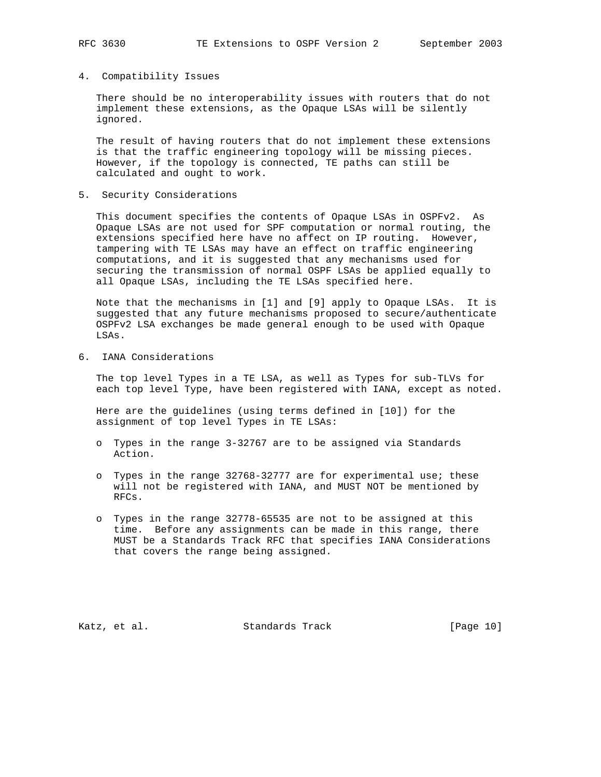#### 4. Compatibility Issues

 There should be no interoperability issues with routers that do not implement these extensions, as the Opaque LSAs will be silently ignored.

 The result of having routers that do not implement these extensions is that the traffic engineering topology will be missing pieces. However, if the topology is connected, TE paths can still be calculated and ought to work.

5. Security Considerations

 This document specifies the contents of Opaque LSAs in OSPFv2. As Opaque LSAs are not used for SPF computation or normal routing, the extensions specified here have no affect on IP routing. However, tampering with TE LSAs may have an effect on traffic engineering computations, and it is suggested that any mechanisms used for securing the transmission of normal OSPF LSAs be applied equally to all Opaque LSAs, including the TE LSAs specified here.

 Note that the mechanisms in [1] and [9] apply to Opaque LSAs. It is suggested that any future mechanisms proposed to secure/authenticate OSPFv2 LSA exchanges be made general enough to be used with Opaque LSAs.

6. IANA Considerations

 The top level Types in a TE LSA, as well as Types for sub-TLVs for each top level Type, have been registered with IANA, except as noted.

 Here are the guidelines (using terms defined in [10]) for the assignment of top level Types in TE LSAs:

- o Types in the range 3-32767 are to be assigned via Standards Action.
- o Types in the range 32768-32777 are for experimental use; these will not be registered with IANA, and MUST NOT be mentioned by RFCs.
- o Types in the range 32778-65535 are not to be assigned at this time. Before any assignments can be made in this range, there MUST be a Standards Track RFC that specifies IANA Considerations that covers the range being assigned.

Katz, et al. Standards Track [Page 10]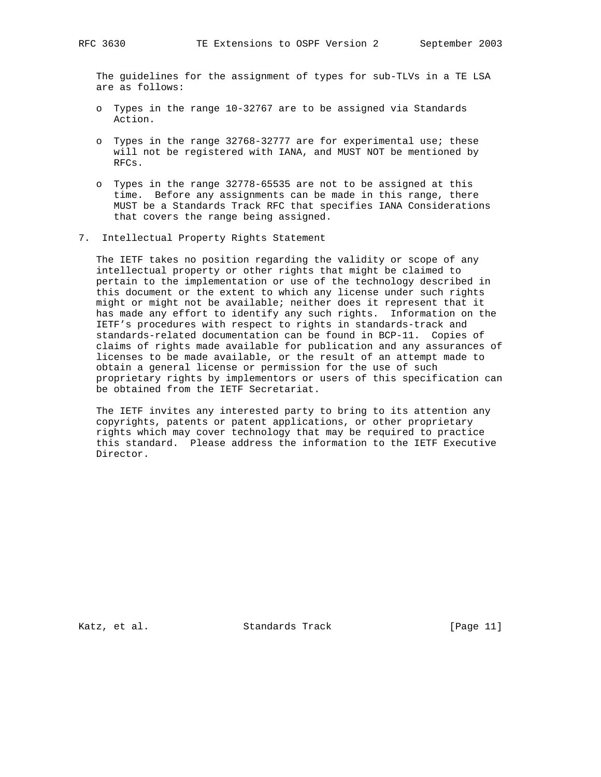The guidelines for the assignment of types for sub-TLVs in a TE LSA are as follows:

- o Types in the range 10-32767 are to be assigned via Standards Action.
- o Types in the range 32768-32777 are for experimental use; these will not be registered with IANA, and MUST NOT be mentioned by RFCs.
- o Types in the range 32778-65535 are not to be assigned at this time. Before any assignments can be made in this range, there MUST be a Standards Track RFC that specifies IANA Considerations that covers the range being assigned.
- 7. Intellectual Property Rights Statement

 The IETF takes no position regarding the validity or scope of any intellectual property or other rights that might be claimed to pertain to the implementation or use of the technology described in this document or the extent to which any license under such rights might or might not be available; neither does it represent that it has made any effort to identify any such rights. Information on the IETF's procedures with respect to rights in standards-track and standards-related documentation can be found in BCP-11. Copies of claims of rights made available for publication and any assurances of licenses to be made available, or the result of an attempt made to obtain a general license or permission for the use of such proprietary rights by implementors or users of this specification can be obtained from the IETF Secretariat.

 The IETF invites any interested party to bring to its attention any copyrights, patents or patent applications, or other proprietary rights which may cover technology that may be required to practice this standard. Please address the information to the IETF Executive Director.

Katz, et al. Standards Track [Page 11]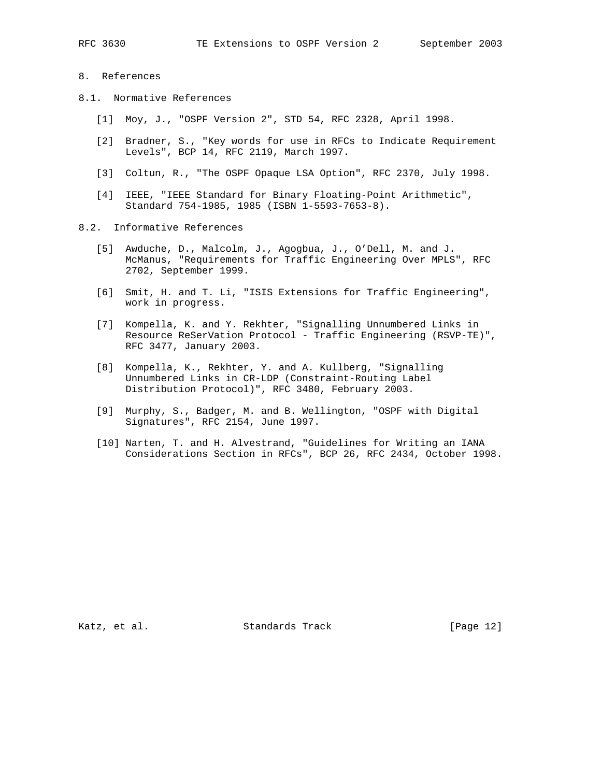- 8. References
- 8.1. Normative References
	- [1] Moy, J., "OSPF Version 2", STD 54, RFC 2328, April 1998.
	- [2] Bradner, S., "Key words for use in RFCs to Indicate Requirement Levels", BCP 14, RFC 2119, March 1997.
	- [3] Coltun, R., "The OSPF Opaque LSA Option", RFC 2370, July 1998.
	- [4] IEEE, "IEEE Standard for Binary Floating-Point Arithmetic", Standard 754-1985, 1985 (ISBN 1-5593-7653-8).
- 8.2. Informative References
	- [5] Awduche, D., Malcolm, J., Agogbua, J., O'Dell, M. and J. McManus, "Requirements for Traffic Engineering Over MPLS", RFC 2702, September 1999.
	- [6] Smit, H. and T. Li, "ISIS Extensions for Traffic Engineering", work in progress.
	- [7] Kompella, K. and Y. Rekhter, "Signalling Unnumbered Links in Resource ReSerVation Protocol - Traffic Engineering (RSVP-TE)", RFC 3477, January 2003.
	- [8] Kompella, K., Rekhter, Y. and A. Kullberg, "Signalling Unnumbered Links in CR-LDP (Constraint-Routing Label Distribution Protocol)", RFC 3480, February 2003.
	- [9] Murphy, S., Badger, M. and B. Wellington, "OSPF with Digital Signatures", RFC 2154, June 1997.
	- [10] Narten, T. and H. Alvestrand, "Guidelines for Writing an IANA Considerations Section in RFCs", BCP 26, RFC 2434, October 1998.

Katz, et al. Standards Track [Page 12]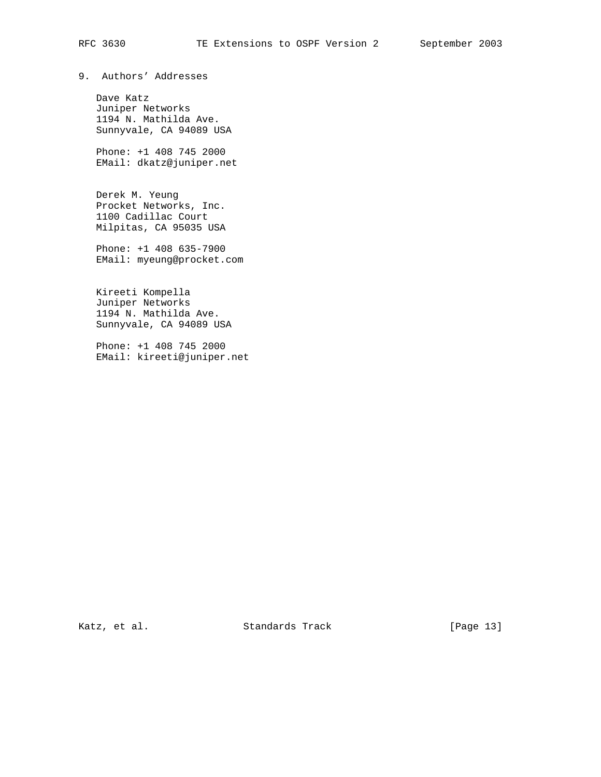# RFC 3630 TE Extensions to OSPF Version 2 September 2003

# 9. Authors' Addresses

 Dave Katz Juniper Networks 1194 N. Mathilda Ave. Sunnyvale, CA 94089 USA

 Phone: +1 408 745 2000 EMail: dkatz@juniper.net

 Derek M. Yeung Procket Networks, Inc. 1100 Cadillac Court Milpitas, CA 95035 USA

 Phone: +1 408 635-7900 EMail: myeung@procket.com

 Kireeti Kompella Juniper Networks 1194 N. Mathilda Ave. Sunnyvale, CA 94089 USA

 Phone: +1 408 745 2000 EMail: kireeti@juniper.net

Katz, et al. Standards Track [Page 13]